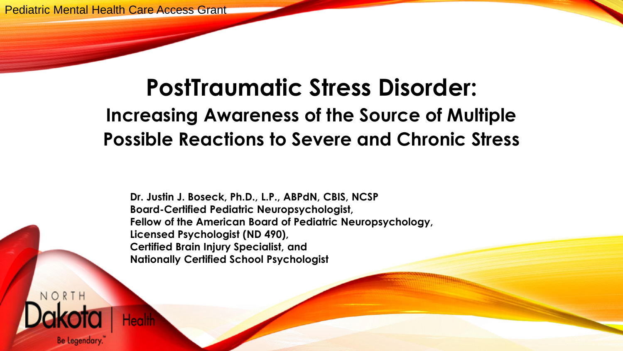#### **PostTraumatic Stress Disorder: Increasing Awareness of the Source of Multiple Possible Reactions to Severe and Chronic Stress**

**Dr. Justin J. Boseck, Ph.D., L.P., ABPdN, CBIS, NCSP Board-Certified Pediatric Neuropsychologist, Fellow of the American Board of Pediatric Neuropsychology, Licensed Psychologist (ND 490), Certified Brain Injury Specialist, and Nationally Certified School Psychologist** 

NORTH **Be Legendary**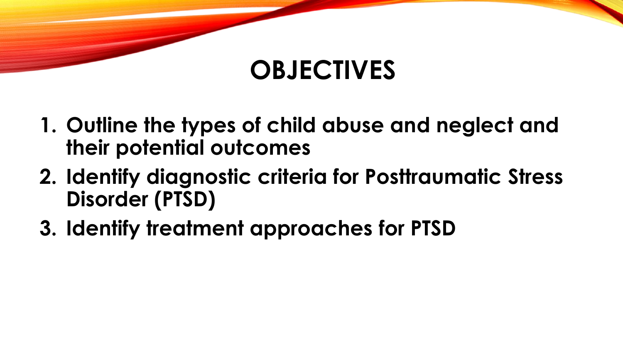#### **OBJECTIVES**

- **1. Outline the types of child abuse and neglect and their potential outcomes**
- **2. Identify diagnostic criteria for Posttraumatic Stress Disorder (PTSD)**
- **3. Identify treatment approaches for PTSD**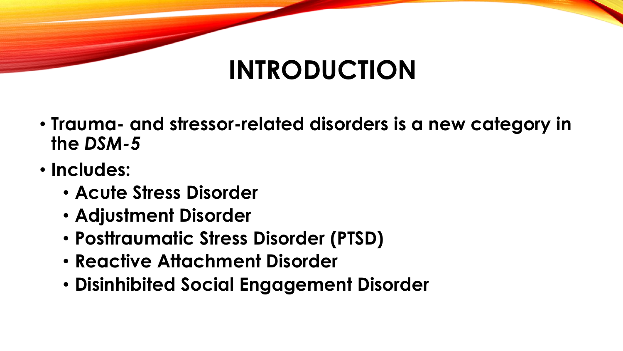# **INTRODUCTION**

- **Trauma- and stressor-related disorders is a new category in the** *DSM-5*
- **Includes:**
	- **Acute Stress Disorder**
	- **Adjustment Disorder**
	- **Posttraumatic Stress Disorder (PTSD)**
	- **Reactive Attachment Disorder**
	- **Disinhibited Social Engagement Disorder**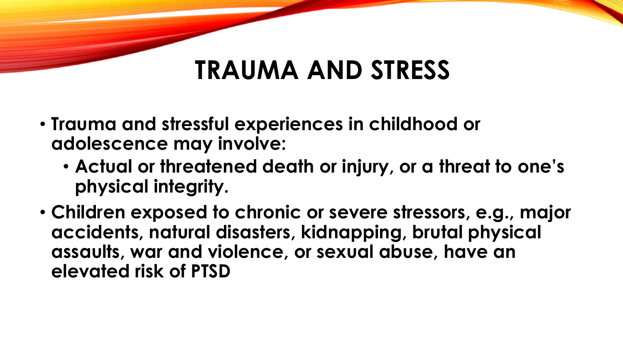#### **TRAUMA AND STRESS**

- **Trauma and stressful experiences in childhood or adolescence may involve:**
	- **Actual or threatened death or injury, or a threat to one's physical integrity.**
- **Children exposed to chronic or severe stressors, e.g., major accidents, natural disasters, kidnapping, brutal physical assaults, war and violence, or sexual abuse, have an elevated risk of PTSD**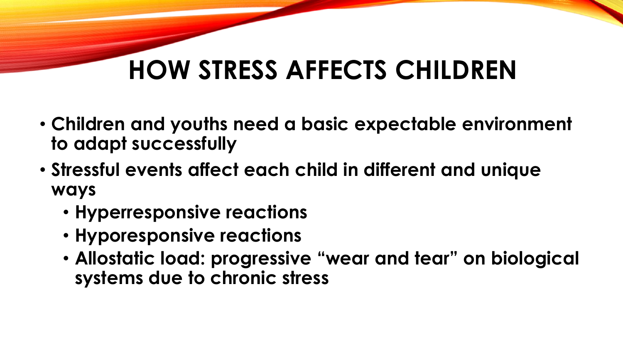# **HOW STRESS AFFECTS CHILDREN**

- **Children and youths need a basic expectable environment to adapt successfully**
- **Stressful events affect each child in different and unique ways**
	- **Hyperresponsive reactions**
	- **Hyporesponsive reactions**
	- **Allostatic load: progressive "wear and tear" on biological systems due to chronic stress**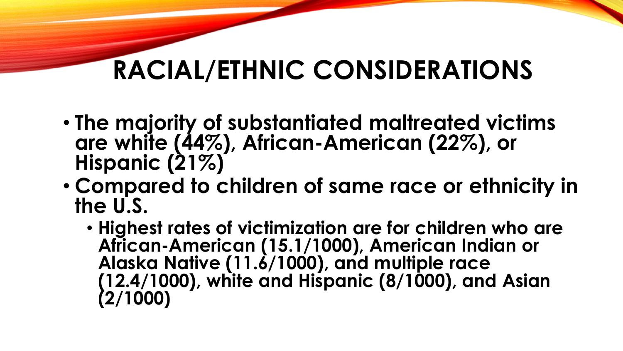# **RACIAL/ETHNIC CONSIDERATIONS**

- **The majority of substantiated maltreated victims are white (44%), African-American (22%), or Hispanic (21%)**
- **Compared to children of same race or ethnicity in the U.S.**
	- **Highest rates of victimization are for children who are African-American (15.1/1000), American Indian or Alaska Native (11.6/1000), and multiple race (12.4/1000), white and Hispanic (8/1000), and Asian (2/1000)**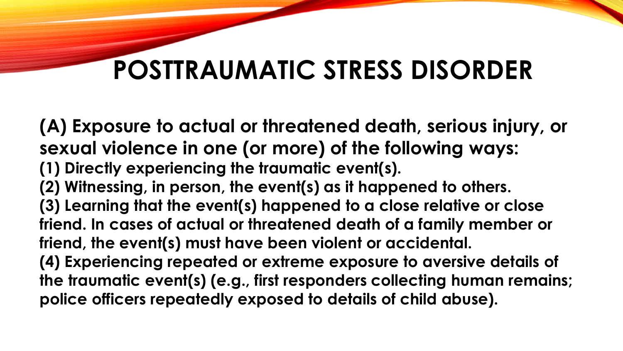**(A) Exposure to actual or threatened death, serious injury, or sexual violence in one (or more) of the following ways: (1) Directly experiencing the traumatic event(s). (2) Witnessing, in person, the event(s) as it happened to others. (3) Learning that the event(s) happened to a close relative or close friend. In cases of actual or threatened death of a family member or friend, the event(s) must have been violent or accidental. (4) Experiencing repeated or extreme exposure to aversive details of the traumatic event(s) (e.g., first responders collecting human remains; police officers repeatedly exposed to details of child abuse).**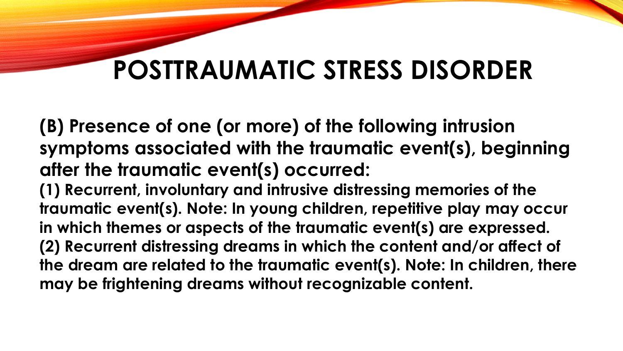**(B) Presence of one (or more) of the following intrusion symptoms associated with the traumatic event(s), beginning after the traumatic event(s) occurred:**

**(1) Recurrent, involuntary and intrusive distressing memories of the traumatic event(s). Note: In young children, repetitive play may occur in which themes or aspects of the traumatic event(s) are expressed. (2) Recurrent distressing dreams in which the content and/or affect of the dream are related to the traumatic event(s). Note: In children, there may be frightening dreams without recognizable content.**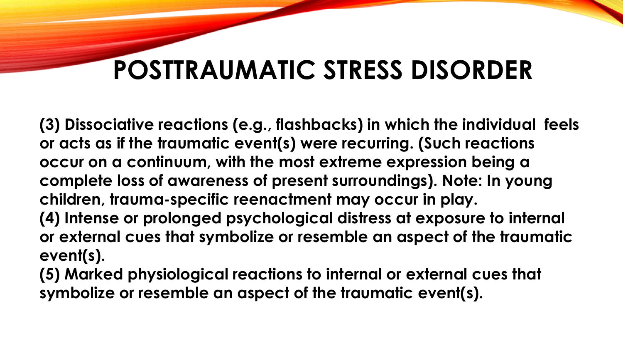**(3) Dissociative reactions (e.g., flashbacks) in which the individual feels or acts as if the traumatic event(s) were recurring. (Such reactions occur on a continuum, with the most extreme expression being a complete loss of awareness of present surroundings). Note: In young children, trauma-specific reenactment may occur in play. (4) Intense or prolonged psychological distress at exposure to internal** 

**or external cues that symbolize or resemble an aspect of the traumatic event(s).**

**(5) Marked physiological reactions to internal or external cues that symbolize or resemble an aspect of the traumatic event(s).**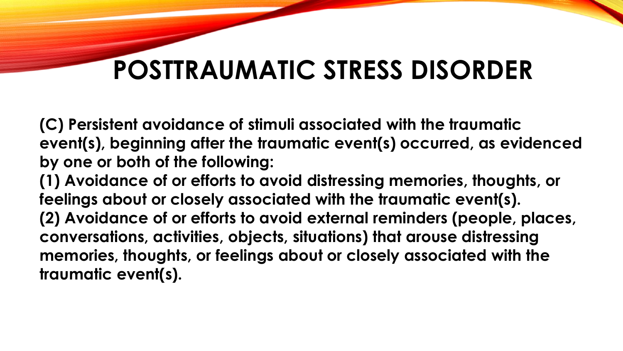**(C) Persistent avoidance of stimuli associated with the traumatic event(s), beginning after the traumatic event(s) occurred, as evidenced by one or both of the following:**

**(1) Avoidance of or efforts to avoid distressing memories, thoughts, or feelings about or closely associated with the traumatic event(s). (2) Avoidance of or efforts to avoid external reminders (people, places, conversations, activities, objects, situations) that arouse distressing memories, thoughts, or feelings about or closely associated with the traumatic event(s).**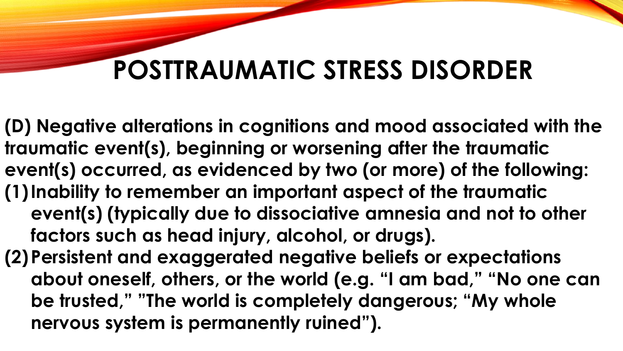**(D) Negative alterations in cognitions and mood associated with the traumatic event(s), beginning or worsening after the traumatic event(s) occurred, as evidenced by two (or more) of the following: (1)Inability to remember an important aspect of the traumatic event(s) (typically due to dissociative amnesia and not to other factors such as head injury, alcohol, or drugs). (2)Persistent and exaggerated negative beliefs or expectations** 

**about oneself, others, or the world (e.g. "I am bad," "No one can be trusted," "The world is completely dangerous; "My whole nervous system is permanently ruined").**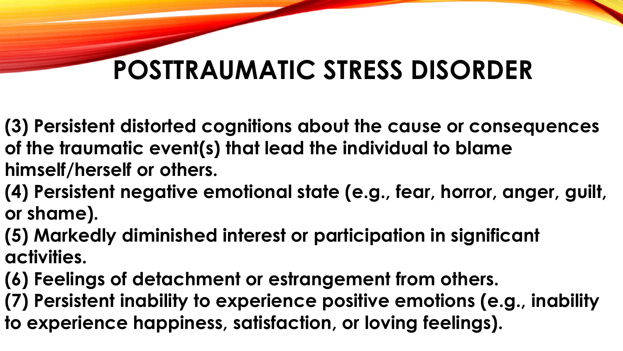- **(3) Persistent distorted cognitions about the cause or consequences of the traumatic event(s) that lead the individual to blame himself/herself or others.**
- **(4) Persistent negative emotional state (e.g., fear, horror, anger, guilt, or shame).**
- **(5) Markedly diminished interest or participation in significant activities.**
- **(6) Feelings of detachment or estrangement from others.**
- **(7) Persistent inability to experience positive emotions (e.g., inability to experience happiness, satisfaction, or loving feelings).**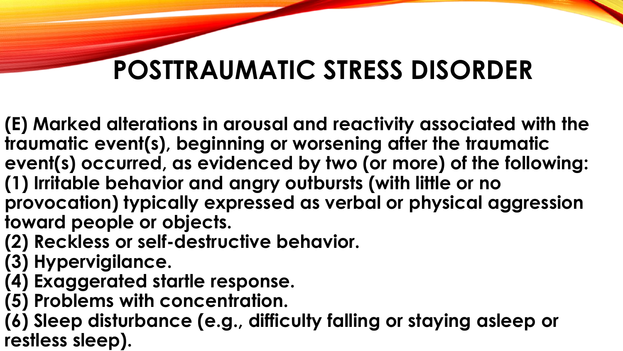**(E) Marked alterations in arousal and reactivity associated with the traumatic event(s), beginning or worsening after the traumatic event(s) occurred, as evidenced by two (or more) of the following: (1) Irritable behavior and angry outbursts (with little or no provocation) typically expressed as verbal or physical aggression toward people or objects.**

- **(2) Reckless or self-destructive behavior.**
- **(3) Hypervigilance.**
- **(4) Exaggerated startle response.**
- **(5) Problems with concentration.**

**(6) Sleep disturbance (e.g., difficulty falling or staying asleep or restless sleep).**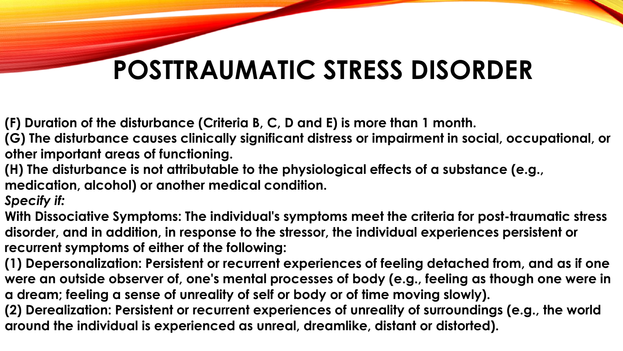**(F) Duration of the disturbance (Criteria B, C, D and E) is more than 1 month.**

**(G) The disturbance causes clinically significant distress or impairment in social, occupational, or other important areas of functioning.**

**(H) The disturbance is not attributable to the physiological effects of a substance (e.g., medication, alcohol) or another medical condition.**

*Specify if:*

**With Dissociative Symptoms: The individual's symptoms meet the criteria for post-traumatic stress disorder, and in addition, in response to the stressor, the individual experiences persistent or recurrent symptoms of either of the following:**

**(1) Depersonalization: Persistent or recurrent experiences of feeling detached from, and as if one were an outside observer of, one's mental processes of body (e.g., feeling as though one were in a dream; feeling a sense of unreality of self or body or of time moving slowly).**

**(2) Derealization: Persistent or recurrent experiences of unreality of surroundings (e.g., the world around the individual is experienced as unreal, dreamlike, distant or distorted).**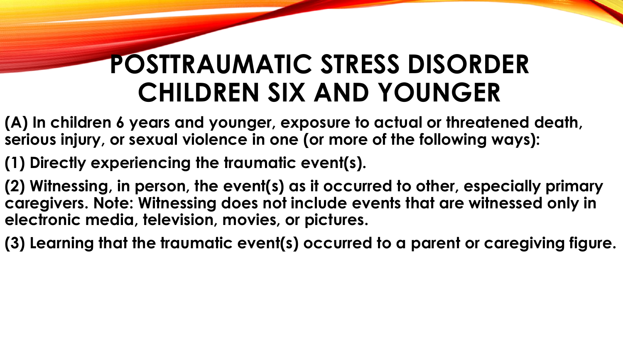### **POSTTRAUMATIC STRESS DISORDER CHILDREN SIX AND YOUNGER**

- **(A) In children 6 years and younger, exposure to actual or threatened death, serious injury, or sexual violence in one (or more of the following ways):**
- **(1) Directly experiencing the traumatic event(s).**
- **(2) Witnessing, in person, the event(s) as it occurred to other, especially primary caregivers. Note: Witnessing does not include events that are witnessed only in electronic media, television, movies, or pictures.**
- **(3) Learning that the traumatic event(s) occurred to a parent or caregiving figure.**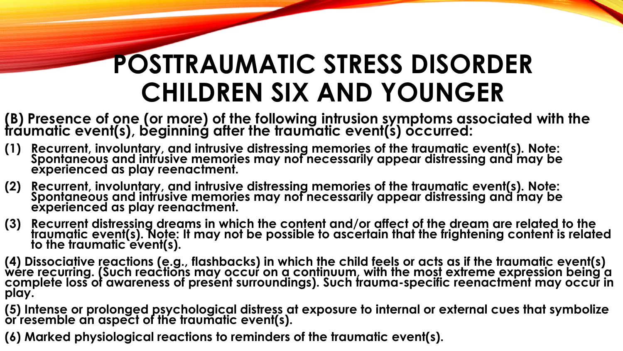# **POSTTRAUMATIC STRESS DISORDER CHILDREN SIX AND YOUNGER**

- **(B) Presence of one (or more) of the following intrusion symptoms associated with the traumatic event(s), beginning after the traumatic event(s) occurred:**
- **(1) Recurrent, involuntary, and intrusive distressing memories of the traumatic event(s). Note: Spontaneous and intrusive memories may not necessarily appear distressing and may be experienced as play reenactment.**
- **(2) Recurrent, involuntary, and intrusive distressing memories of the traumatic event(s). Note: Spontaneous and intrusive memories may not necessarily appear distressing and may be experienced as play reenactment.**
- **(3) Recurrent distressing dreams in which the content and/or affect of the dream are related to the traumatic event(s). Note: It may not be possible to ascertain that the frightening content is related to the traumatic event(s).**
- **(4) Dissociative reactions (e.g., flashbacks) in which the child feels or acts as if the traumatic event(s) were recurring. (Such reactions may occur on a continuum, with the most extreme expression being a complete loss of awareness of present surroundings). Such trauma-specific reenactment may occur in play.**
- **(5) Intense or prolonged psychological distress at exposure to internal or external cues that symbolize or resemble an aspect of the traumatic event(s).**
- **(6) Marked physiological reactions to reminders of the traumatic event(s).**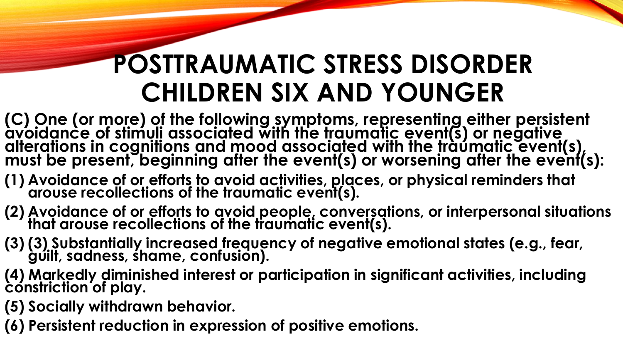# **POSTTRAUMATIC STRESS DISORDER CHILDREN SIX AND YOUNGER**

- **(C) One (or more) of the following symptoms, representing either persistent avoidance of stimuli associated with the traumatic event(s) or negative alterations in cognitions and mood associated with the traumatic event(s), must be present, beginning after the event(s) or worsening after the event(s):**
- **(1) Avoidance of or efforts to avoid activities, places, or physical reminders that arouse recollections of the traumatic event(s).**
- **(2) Avoidance of or efforts to avoid people, conversations, or interpersonal situations that arouse recollections of the traumatic event(s).**
- **(3) (3) Substantially increased frequency of negative emotional states (e.g., fear, guilt, sadness, shame, confusion).**
- **(4) Markedly diminished interest or participation in significant activities, including constriction of play.**
- **(5) Socially withdrawn behavior.**
- **(6) Persistent reduction in expression of positive emotions.**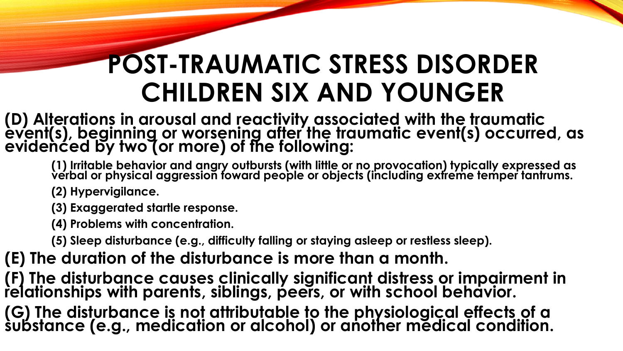# **POST-TRAUMATIC STRESS DISORDER CHILDREN SIX AND YOUNGER**

**(D) Alterations in arousal and reactivity associated with the traumatic event(s), beginning or worsening after the traumatic event(s) occurred, as evidenced by two (or more) of the following:**

**(1) Irritable behavior and angry outbursts (with little or no provocation) typically expressed as verbal or physical aggression toward people or objects (including extreme temper tantrums.**

**(2) Hypervigilance.**

**(3) Exaggerated startle response.**

**(4) Problems with concentration.**

**(5) Sleep disturbance (e.g., difficulty falling or staying asleep or restless sleep).**

**(E) The duration of the disturbance is more than a month.**

**(F) The disturbance causes clinically significant distress or impairment in relationships with parents, siblings, peers, or with school behavior.**

**(G) The disturbance is not attributable to the physiological effects of a substance (e.g., medication or alcohol) or another medical condition.**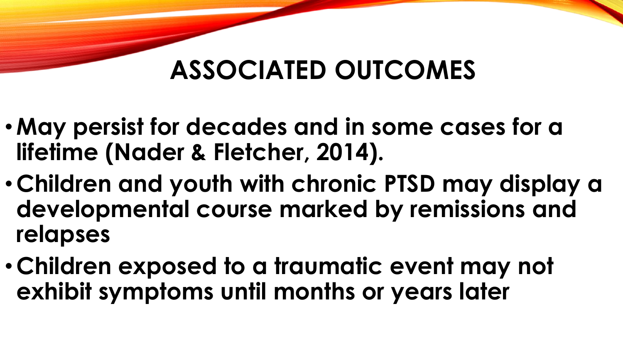#### **ASSOCIATED OUTCOMES**

- •**May persist for decades and in some cases for a lifetime (Nader & Fletcher, 2014).**
- •**Children and youth with chronic PTSD may display a developmental course marked by remissions and relapses**
- •**Children exposed to a traumatic event may not exhibit symptoms until months or years later**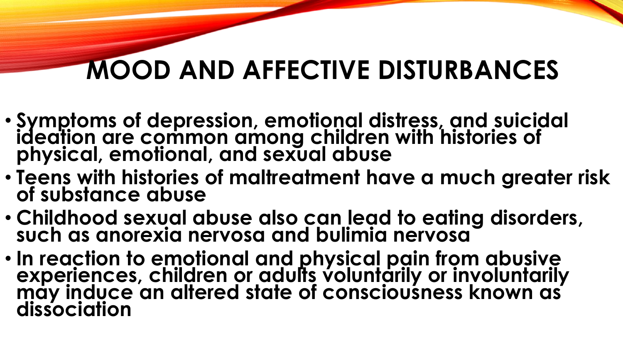# **MOOD AND AFFECTIVE DISTURBANCES**

- **Symptoms of depression, emotional distress, and suicidal ideation are common among children with histories of physical, emotional, and sexual abuse**
- **Teens with histories of maltreatment have a much greater risk of substance abuse**
- **Childhood sexual abuse also can lead to eating disorders, such as anorexia nervosa and bulimia nervosa**
- **In reaction to emotional and physical pain from abusive experiences, children or adults voluntarily or involuntarily may induce an altered state of consciousness known as dissociation**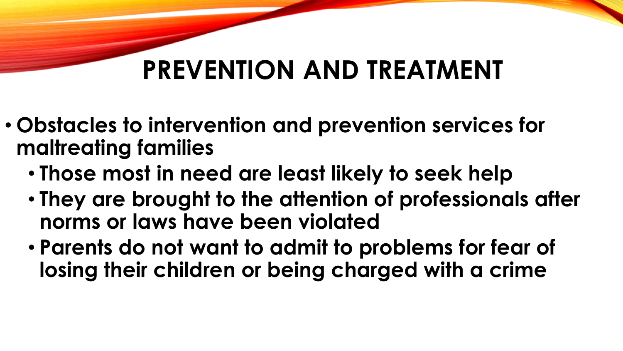### **PREVENTION AND TREATMENT**

- **Obstacles to intervention and prevention services for maltreating families**
	- **Those most in need are least likely to seek help**
	- **They are brought to the attention of professionals after norms or laws have been violated**
	- **Parents do not want to admit to problems for fear of losing their children or being charged with a crime**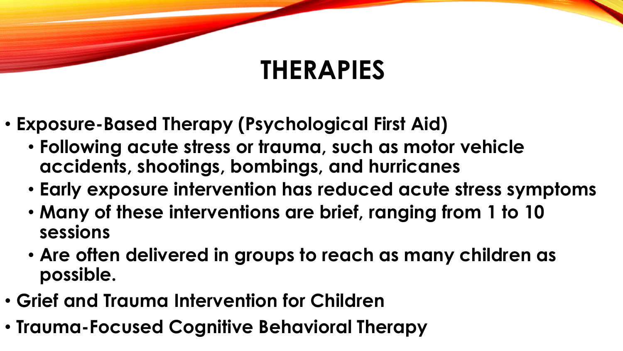### **THERAPIES**

- **Exposure-Based Therapy (Psychological First Aid)**
	- **Following acute stress or trauma, such as motor vehicle accidents, shootings, bombings, and hurricanes**
	- **Early exposure intervention has reduced acute stress symptoms**
	- **Many of these interventions are brief, ranging from 1 to 10 sessions**
	- **Are often delivered in groups to reach as many children as possible.**
- **Grief and Trauma Intervention for Children**
- **Trauma-Focused Cognitive Behavioral Therapy**